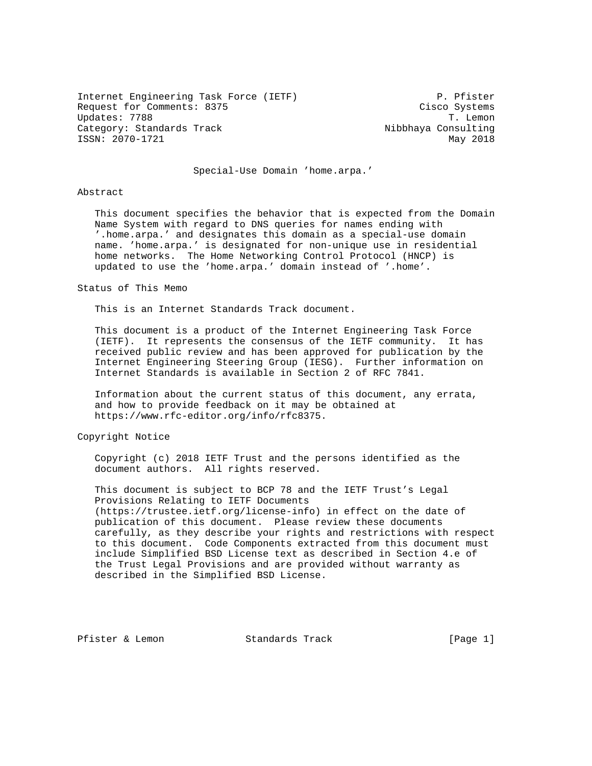Internet Engineering Task Force (IETF) P. Pfister Request for Comments: 8375 Cisco Systems Updates: 7788 T. Lemon Category: Standards Track Nibbhaya Consulting ISSN: 2070-1721 May 2018

## Special-Use Domain 'home.arpa.'

### Abstract

 This document specifies the behavior that is expected from the Domain Name System with regard to DNS queries for names ending with '.home.arpa.' and designates this domain as a special-use domain name. 'home.arpa.' is designated for non-unique use in residential home networks. The Home Networking Control Protocol (HNCP) is updated to use the 'home.arpa.' domain instead of '.home'.

#### Status of This Memo

This is an Internet Standards Track document.

 This document is a product of the Internet Engineering Task Force (IETF). It represents the consensus of the IETF community. It has received public review and has been approved for publication by the Internet Engineering Steering Group (IESG). Further information on Internet Standards is available in Section 2 of RFC 7841.

 Information about the current status of this document, any errata, and how to provide feedback on it may be obtained at https://www.rfc-editor.org/info/rfc8375.

Copyright Notice

 Copyright (c) 2018 IETF Trust and the persons identified as the document authors. All rights reserved.

 This document is subject to BCP 78 and the IETF Trust's Legal Provisions Relating to IETF Documents (https://trustee.ietf.org/license-info) in effect on the date of publication of this document. Please review these documents carefully, as they describe your rights and restrictions with respect to this document. Code Components extracted from this document must include Simplified BSD License text as described in Section 4.e of the Trust Legal Provisions and are provided without warranty as described in the Simplified BSD License.

Pfister & Lemon Standards Track [Page 1]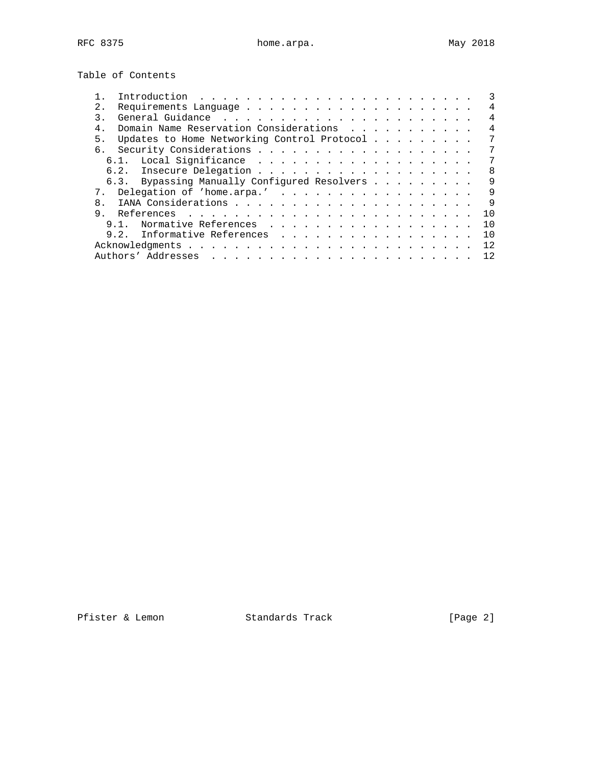Table of Contents

| 2.             | 4                                                 |
|----------------|---------------------------------------------------|
|                |                                                   |
| $4$ .          | Domain Name Reservation Considerations<br>4       |
| 5.             | Updates to Home Networking Control Protocol<br>7  |
|                |                                                   |
| $6.1$ .        |                                                   |
|                | 8                                                 |
|                | 6.3. Bypassing Manually Configured Resolvers<br>9 |
|                | 7. Delegation of 'home.arpa.'<br>9                |
| 8              | 9                                                 |
| 9 <sub>1</sub> | 10                                                |
| 9 1            | Normative References<br>1 O                       |
|                | Informative References<br>9.2.<br>10              |
|                | 12                                                |
|                | Authors' Addresses<br>12.                         |

Pfister & Lemon Standards Track [Page 2]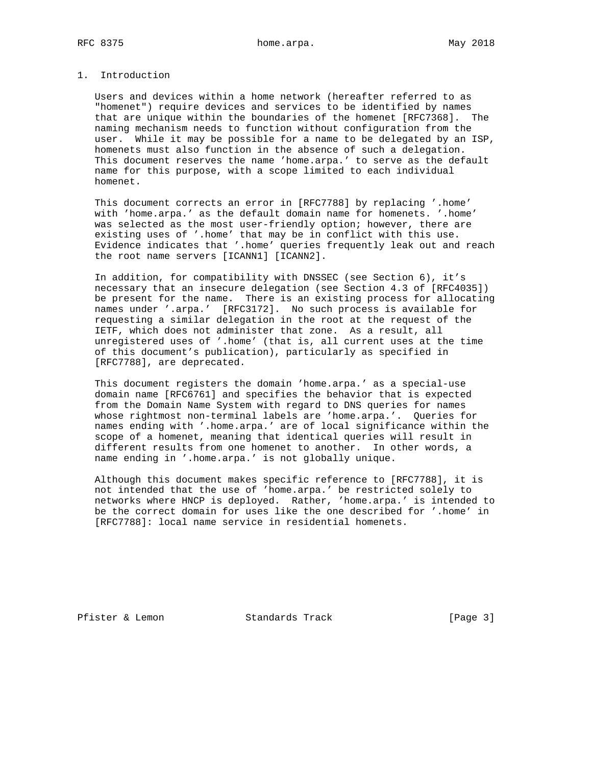# 1. Introduction

 Users and devices within a home network (hereafter referred to as "homenet") require devices and services to be identified by names that are unique within the boundaries of the homenet [RFC7368]. The naming mechanism needs to function without configuration from the user. While it may be possible for a name to be delegated by an ISP, homenets must also function in the absence of such a delegation. This document reserves the name 'home.arpa.' to serve as the default name for this purpose, with a scope limited to each individual homenet.

 This document corrects an error in [RFC7788] by replacing '.home' with 'home.arpa.' as the default domain name for homenets. '.home' was selected as the most user-friendly option; however, there are existing uses of '.home' that may be in conflict with this use. Evidence indicates that '.home' queries frequently leak out and reach the root name servers [ICANN1] [ICANN2].

 In addition, for compatibility with DNSSEC (see Section 6), it's necessary that an insecure delegation (see Section 4.3 of [RFC4035]) be present for the name. There is an existing process for allocating names under '.arpa.' [RFC3172]. No such process is available for requesting a similar delegation in the root at the request of the IETF, which does not administer that zone. As a result, all unregistered uses of '.home' (that is, all current uses at the time of this document's publication), particularly as specified in [RFC7788], are deprecated.

 This document registers the domain 'home.arpa.' as a special-use domain name [RFC6761] and specifies the behavior that is expected from the Domain Name System with regard to DNS queries for names whose rightmost non-terminal labels are 'home.arpa.'. Queries for names ending with '.home.arpa.' are of local significance within the scope of a homenet, meaning that identical queries will result in different results from one homenet to another. In other words, a name ending in '.home.arpa.' is not globally unique.

 Although this document makes specific reference to [RFC7788], it is not intended that the use of 'home.arpa.' be restricted solely to networks where HNCP is deployed. Rather, 'home.arpa.' is intended to be the correct domain for uses like the one described for '.home' in [RFC7788]: local name service in residential homenets.

Pfister & Lemon Standards Track [Page 3]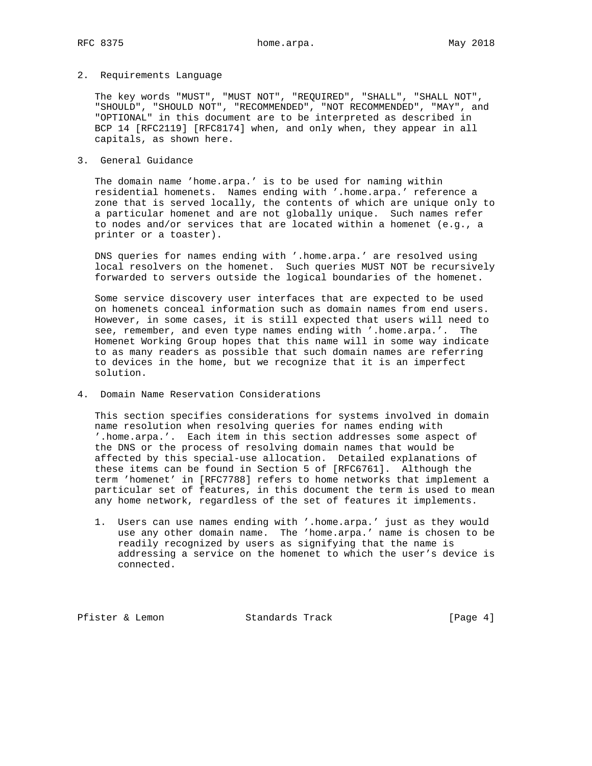## 2. Requirements Language

 The key words "MUST", "MUST NOT", "REQUIRED", "SHALL", "SHALL NOT", "SHOULD", "SHOULD NOT", "RECOMMENDED", "NOT RECOMMENDED", "MAY", and "OPTIONAL" in this document are to be interpreted as described in BCP 14 [RFC2119] [RFC8174] when, and only when, they appear in all capitals, as shown here.

# 3. General Guidance

 The domain name 'home.arpa.' is to be used for naming within residential homenets. Names ending with '.home.arpa.' reference a zone that is served locally, the contents of which are unique only to a particular homenet and are not globally unique. Such names refer to nodes and/or services that are located within a homenet (e.g., a printer or a toaster).

 DNS queries for names ending with '.home.arpa.' are resolved using local resolvers on the homenet. Such queries MUST NOT be recursively forwarded to servers outside the logical boundaries of the homenet.

 Some service discovery user interfaces that are expected to be used on homenets conceal information such as domain names from end users. However, in some cases, it is still expected that users will need to see, remember, and even type names ending with '.home.arpa.'. The Homenet Working Group hopes that this name will in some way indicate to as many readers as possible that such domain names are referring to devices in the home, but we recognize that it is an imperfect solution.

## 4. Domain Name Reservation Considerations

 This section specifies considerations for systems involved in domain name resolution when resolving queries for names ending with '.home.arpa.'. Each item in this section addresses some aspect of the DNS or the process of resolving domain names that would be affected by this special-use allocation. Detailed explanations of these items can be found in Section 5 of [RFC6761]. Although the term 'homenet' in [RFC7788] refers to home networks that implement a particular set of features, in this document the term is used to mean any home network, regardless of the set of features it implements.

 1. Users can use names ending with '.home.arpa.' just as they would use any other domain name. The 'home.arpa.' name is chosen to be readily recognized by users as signifying that the name is addressing a service on the homenet to which the user's device is connected.

Pfister & Lemon Standards Track [Page 4]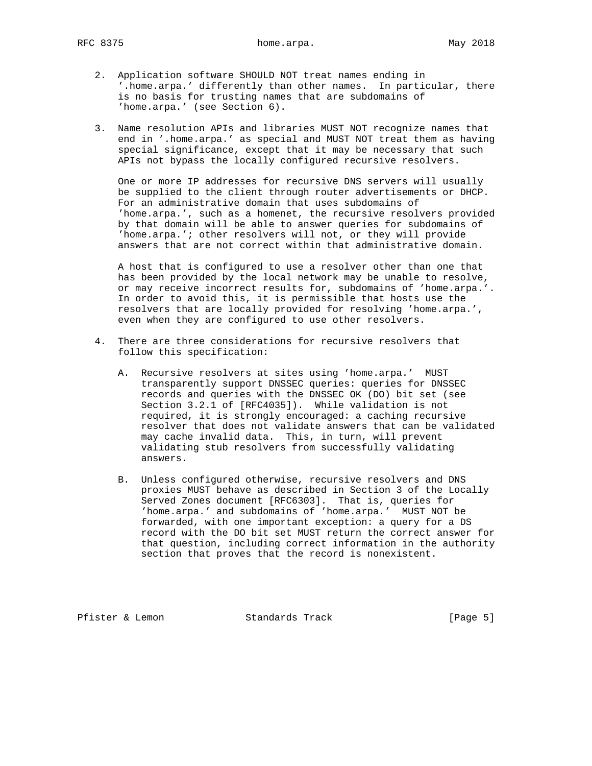RFC 8375 home.arpa. home.arpa. May 2018

- 2. Application software SHOULD NOT treat names ending in '.home.arpa.' differently than other names. In particular, there is no basis for trusting names that are subdomains of 'home.arpa.' (see Section 6).
- 3. Name resolution APIs and libraries MUST NOT recognize names that end in '.home.arpa.' as special and MUST NOT treat them as having special significance, except that it may be necessary that such APIs not bypass the locally configured recursive resolvers.

 One or more IP addresses for recursive DNS servers will usually be supplied to the client through router advertisements or DHCP. For an administrative domain that uses subdomains of 'home.arpa.', such as a homenet, the recursive resolvers provided by that domain will be able to answer queries for subdomains of 'home.arpa.'; other resolvers will not, or they will provide answers that are not correct within that administrative domain.

 A host that is configured to use a resolver other than one that has been provided by the local network may be unable to resolve, or may receive incorrect results for, subdomains of 'home.arpa.'. In order to avoid this, it is permissible that hosts use the resolvers that are locally provided for resolving 'home.arpa.', even when they are configured to use other resolvers.

- 4. There are three considerations for recursive resolvers that follow this specification:
	- A. Recursive resolvers at sites using 'home.arpa.' MUST transparently support DNSSEC queries: queries for DNSSEC records and queries with the DNSSEC OK (DO) bit set (see Section 3.2.1 of [RFC4035]). While validation is not required, it is strongly encouraged: a caching recursive resolver that does not validate answers that can be validated may cache invalid data. This, in turn, will prevent validating stub resolvers from successfully validating answers.
	- B. Unless configured otherwise, recursive resolvers and DNS proxies MUST behave as described in Section 3 of the Locally Served Zones document [RFC6303]. That is, queries for 'home.arpa.' and subdomains of 'home.arpa.' MUST NOT be forwarded, with one important exception: a query for a DS record with the DO bit set MUST return the correct answer for that question, including correct information in the authority section that proves that the record is nonexistent.

Pfister & Lemon Standards Track [Page 5]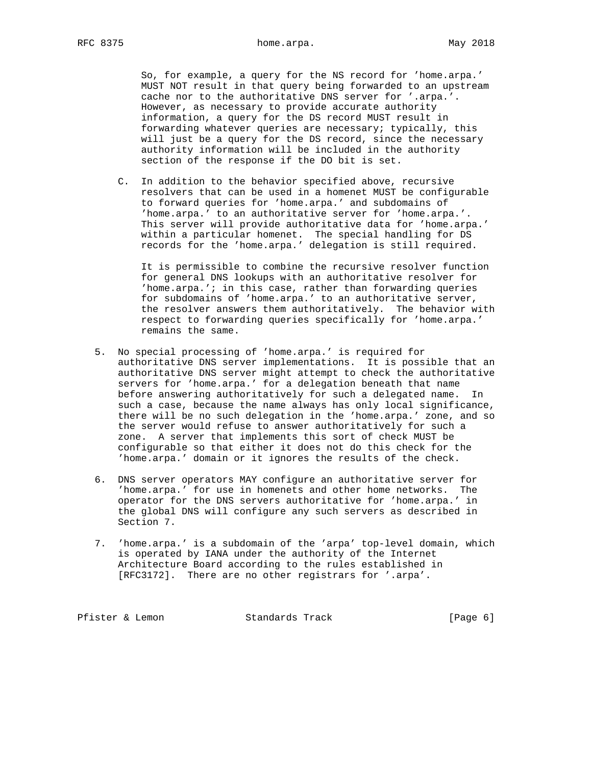So, for example, a query for the NS record for 'home.arpa.' MUST NOT result in that query being forwarded to an upstream cache nor to the authoritative DNS server for '.arpa.'. However, as necessary to provide accurate authority information, a query for the DS record MUST result in forwarding whatever queries are necessary; typically, this will just be a query for the DS record, since the necessary authority information will be included in the authority section of the response if the DO bit is set.

 C. In addition to the behavior specified above, recursive resolvers that can be used in a homenet MUST be configurable to forward queries for 'home.arpa.' and subdomains of 'home.arpa.' to an authoritative server for 'home.arpa.'. This server will provide authoritative data for 'home.arpa.' within a particular homenet. The special handling for DS records for the 'home.arpa.' delegation is still required.

 It is permissible to combine the recursive resolver function for general DNS lookups with an authoritative resolver for 'home.arpa.'; in this case, rather than forwarding queries for subdomains of 'home.arpa.' to an authoritative server, the resolver answers them authoritatively. The behavior with respect to forwarding queries specifically for 'home.arpa.' remains the same.

- 5. No special processing of 'home.arpa.' is required for authoritative DNS server implementations. It is possible that an authoritative DNS server might attempt to check the authoritative servers for 'home.arpa.' for a delegation beneath that name before answering authoritatively for such a delegated name. In such a case, because the name always has only local significance, there will be no such delegation in the 'home.arpa.' zone, and so the server would refuse to answer authoritatively for such a zone. A server that implements this sort of check MUST be configurable so that either it does not do this check for the 'home.arpa.' domain or it ignores the results of the check.
- 6. DNS server operators MAY configure an authoritative server for 'home.arpa.' for use in homenets and other home networks. The operator for the DNS servers authoritative for 'home.arpa.' in the global DNS will configure any such servers as described in Section 7.
- 7. 'home.arpa.' is a subdomain of the 'arpa' top-level domain, which is operated by IANA under the authority of the Internet Architecture Board according to the rules established in [RFC3172]. There are no other registrars for '.arpa'.

Pfister & Lemon Standards Track [Page 6]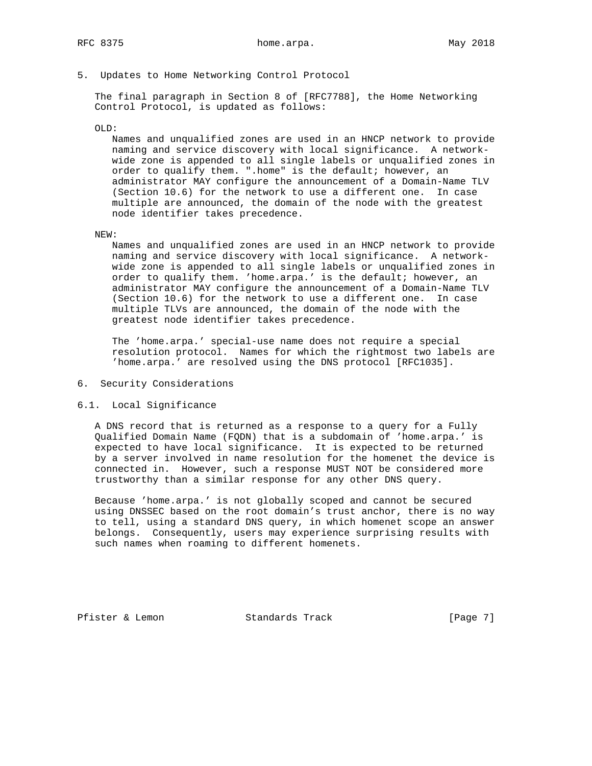5. Updates to Home Networking Control Protocol

 The final paragraph in Section 8 of [RFC7788], the Home Networking Control Protocol, is updated as follows:

#### OLD:

 Names and unqualified zones are used in an HNCP network to provide naming and service discovery with local significance. A network wide zone is appended to all single labels or unqualified zones in order to qualify them. ".home" is the default; however, an administrator MAY configure the announcement of a Domain-Name TLV (Section 10.6) for the network to use a different one. In case multiple are announced, the domain of the node with the greatest node identifier takes precedence.

#### NEW:

 Names and unqualified zones are used in an HNCP network to provide naming and service discovery with local significance. A network wide zone is appended to all single labels or unqualified zones in order to qualify them. 'home.arpa.' is the default; however, an administrator MAY configure the announcement of a Domain-Name TLV (Section 10.6) for the network to use a different one. In case multiple TLVs are announced, the domain of the node with the greatest node identifier takes precedence.

 The 'home.arpa.' special-use name does not require a special resolution protocol. Names for which the rightmost two labels are 'home.arpa.' are resolved using the DNS protocol [RFC1035].

# 6. Security Considerations

### 6.1. Local Significance

 A DNS record that is returned as a response to a query for a Fully Qualified Domain Name (FQDN) that is a subdomain of 'home.arpa.' is expected to have local significance. It is expected to be returned by a server involved in name resolution for the homenet the device is connected in. However, such a response MUST NOT be considered more trustworthy than a similar response for any other DNS query.

 Because 'home.arpa.' is not globally scoped and cannot be secured using DNSSEC based on the root domain's trust anchor, there is no way to tell, using a standard DNS query, in which homenet scope an answer belongs. Consequently, users may experience surprising results with such names when roaming to different homenets.

Pfister & Lemon Standards Track [Page 7]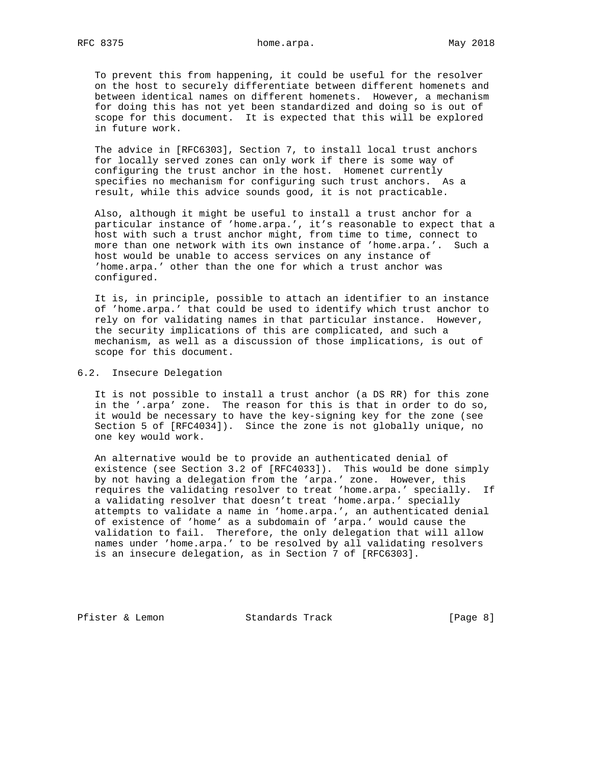RFC 8375 home.arpa. home.arpa. May 2018

 To prevent this from happening, it could be useful for the resolver on the host to securely differentiate between different homenets and between identical names on different homenets. However, a mechanism for doing this has not yet been standardized and doing so is out of scope for this document. It is expected that this will be explored in future work.

 The advice in [RFC6303], Section 7, to install local trust anchors for locally served zones can only work if there is some way of configuring the trust anchor in the host. Homenet currently specifies no mechanism for configuring such trust anchors. As a result, while this advice sounds good, it is not practicable.

 Also, although it might be useful to install a trust anchor for a particular instance of 'home.arpa.', it's reasonable to expect that a host with such a trust anchor might, from time to time, connect to more than one network with its own instance of 'home.arpa.'. Such a host would be unable to access services on any instance of 'home.arpa.' other than the one for which a trust anchor was configured.

 It is, in principle, possible to attach an identifier to an instance of 'home.arpa.' that could be used to identify which trust anchor to rely on for validating names in that particular instance. However, the security implications of this are complicated, and such a mechanism, as well as a discussion of those implications, is out of scope for this document.

6.2. Insecure Delegation

 It is not possible to install a trust anchor (a DS RR) for this zone in the '.arpa' zone. The reason for this is that in order to do so, it would be necessary to have the key-signing key for the zone (see Section 5 of [RFC4034]). Since the zone is not globally unique, no one key would work.

 An alternative would be to provide an authenticated denial of existence (see Section 3.2 of [RFC4033]). This would be done simply by not having a delegation from the 'arpa.' zone. However, this requires the validating resolver to treat 'home.arpa.' specially. If a validating resolver that doesn't treat 'home.arpa.' specially attempts to validate a name in 'home.arpa.', an authenticated denial of existence of 'home' as a subdomain of 'arpa.' would cause the validation to fail. Therefore, the only delegation that will allow names under 'home.arpa.' to be resolved by all validating resolvers is an insecure delegation, as in Section 7 of [RFC6303].

Pfister & Lemon Standards Track [Page 8]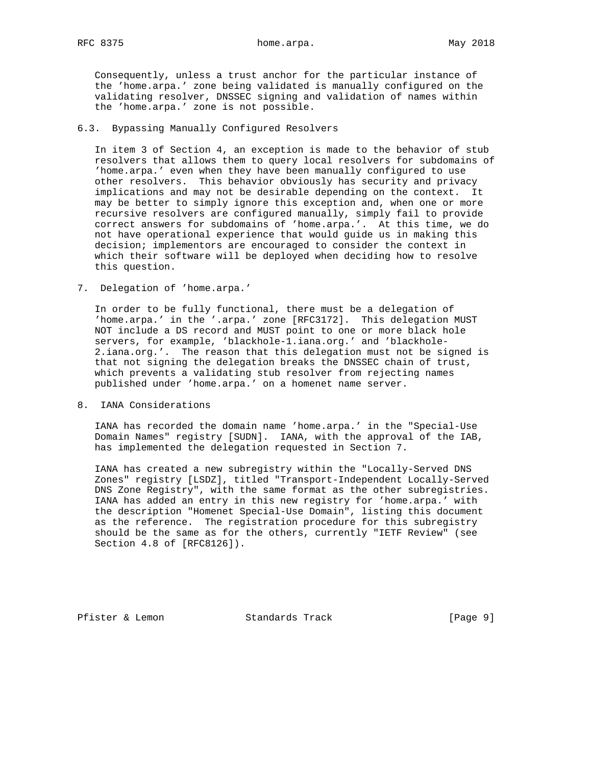RFC 8375 home.arpa. home.arpa. May 2018

 Consequently, unless a trust anchor for the particular instance of the 'home.arpa.' zone being validated is manually configured on the validating resolver, DNSSEC signing and validation of names within the 'home.arpa.' zone is not possible.

## 6.3. Bypassing Manually Configured Resolvers

 In item 3 of Section 4, an exception is made to the behavior of stub resolvers that allows them to query local resolvers for subdomains of 'home.arpa.' even when they have been manually configured to use other resolvers. This behavior obviously has security and privacy implications and may not be desirable depending on the context. It may be better to simply ignore this exception and, when one or more recursive resolvers are configured manually, simply fail to provide correct answers for subdomains of 'home.arpa.'. At this time, we do not have operational experience that would guide us in making this decision; implementors are encouraged to consider the context in which their software will be deployed when deciding how to resolve this question.

7. Delegation of 'home.arpa.'

 In order to be fully functional, there must be a delegation of 'home.arpa.' in the '.arpa.' zone [RFC3172]. This delegation MUST NOT include a DS record and MUST point to one or more black hole servers, for example, 'blackhole-1.iana.org.' and 'blackhole- 2.iana.org.'. The reason that this delegation must not be signed is that not signing the delegation breaks the DNSSEC chain of trust, which prevents a validating stub resolver from rejecting names published under 'home.arpa.' on a homenet name server.

8. IANA Considerations

 IANA has recorded the domain name 'home.arpa.' in the "Special-Use Domain Names" registry [SUDN]. IANA, with the approval of the IAB, has implemented the delegation requested in Section 7.

 IANA has created a new subregistry within the "Locally-Served DNS Zones" registry [LSDZ], titled "Transport-Independent Locally-Served DNS Zone Registry", with the same format as the other subregistries. IANA has added an entry in this new registry for 'home.arpa.' with the description "Homenet Special-Use Domain", listing this document as the reference. The registration procedure for this subregistry should be the same as for the others, currently "IETF Review" (see Section 4.8 of [RFC8126]).

Pfister & Lemon Standards Track [Page 9]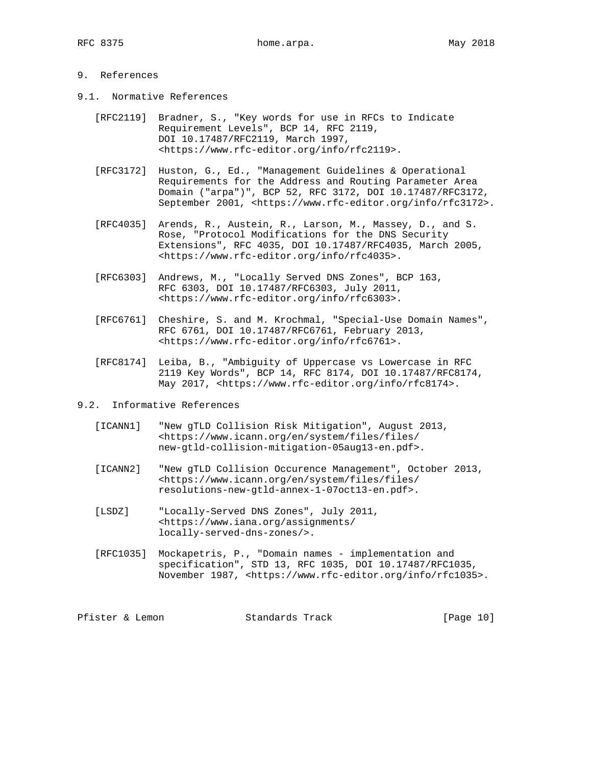# 9. References

- 9.1. Normative References
	- [RFC2119] Bradner, S., "Key words for use in RFCs to Indicate Requirement Levels", BCP 14, RFC 2119, DOI 10.17487/RFC2119, March 1997, <https://www.rfc-editor.org/info/rfc2119>.
	- [RFC3172] Huston, G., Ed., "Management Guidelines & Operational Requirements for the Address and Routing Parameter Area Domain ("arpa")", BCP 52, RFC 3172, DOI 10.17487/RFC3172, September 2001, <https://www.rfc-editor.org/info/rfc3172>.
	- [RFC4035] Arends, R., Austein, R., Larson, M., Massey, D., and S. Rose, "Protocol Modifications for the DNS Security Extensions", RFC 4035, DOI 10.17487/RFC4035, March 2005, <https://www.rfc-editor.org/info/rfc4035>.
	- [RFC6303] Andrews, M., "Locally Served DNS Zones", BCP 163, RFC 6303, DOI 10.17487/RFC6303, July 2011, <https://www.rfc-editor.org/info/rfc6303>.
	- [RFC6761] Cheshire, S. and M. Krochmal, "Special-Use Domain Names", RFC 6761, DOI 10.17487/RFC6761, February 2013, <https://www.rfc-editor.org/info/rfc6761>.
	- [RFC8174] Leiba, B., "Ambiguity of Uppercase vs Lowercase in RFC 2119 Key Words", BCP 14, RFC 8174, DOI 10.17487/RFC8174, May 2017, <https://www.rfc-editor.org/info/rfc8174>.
- 9.2. Informative References
	- [ICANN1] "New gTLD Collision Risk Mitigation", August 2013, <https://www.icann.org/en/system/files/files/ new-gtld-collision-mitigation-05aug13-en.pdf>.
	- [ICANN2] "New gTLD Collision Occurence Management", October 2013, <https://www.icann.org/en/system/files/files/ resolutions-new-gtld-annex-1-07oct13-en.pdf>.
	- [LSDZ] "Locally-Served DNS Zones", July 2011, <https://www.iana.org/assignments/ locally-served-dns-zones/>.
	- [RFC1035] Mockapetris, P., "Domain names implementation and specification", STD 13, RFC 1035, DOI 10.17487/RFC1035, November 1987, <https://www.rfc-editor.org/info/rfc1035>.

| Pfister & Lemon | Standards Track | [Page 10] |  |  |
|-----------------|-----------------|-----------|--|--|
|-----------------|-----------------|-----------|--|--|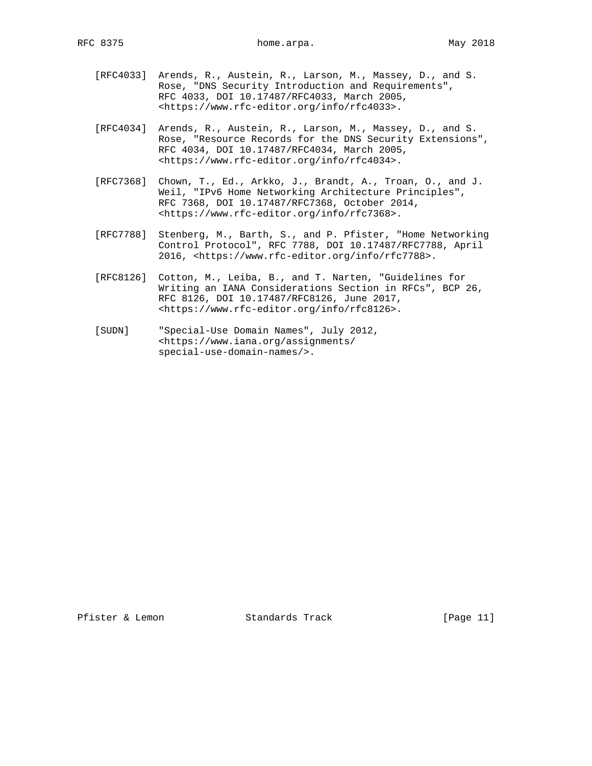- [RFC4033] Arends, R., Austein, R., Larson, M., Massey, D., and S. Rose, "DNS Security Introduction and Requirements", RFC 4033, DOI 10.17487/RFC4033, March 2005, <https://www.rfc-editor.org/info/rfc4033>.
- [RFC4034] Arends, R., Austein, R., Larson, M., Massey, D., and S. Rose, "Resource Records for the DNS Security Extensions", RFC 4034, DOI 10.17487/RFC4034, March 2005, <https://www.rfc-editor.org/info/rfc4034>.
- [RFC7368] Chown, T., Ed., Arkko, J., Brandt, A., Troan, O., and J. Weil, "IPv6 Home Networking Architecture Principles", RFC 7368, DOI 10.17487/RFC7368, October 2014, <https://www.rfc-editor.org/info/rfc7368>.
- [RFC7788] Stenberg, M., Barth, S., and P. Pfister, "Home Networking Control Protocol", RFC 7788, DOI 10.17487/RFC7788, April 2016, <https://www.rfc-editor.org/info/rfc7788>.
- [RFC8126] Cotton, M., Leiba, B., and T. Narten, "Guidelines for Writing an IANA Considerations Section in RFCs", BCP 26, RFC 8126, DOI 10.17487/RFC8126, June 2017, <https://www.rfc-editor.org/info/rfc8126>.
- [SUDN] "Special-Use Domain Names", July 2012, <https://www.iana.org/assignments/ special-use-domain-names/>.

Pfister & Lemon Standards Track [Page 11]